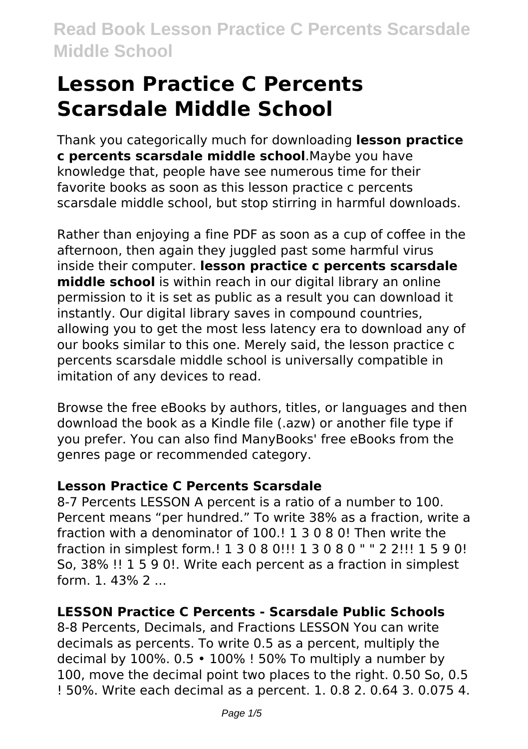# **Lesson Practice C Percents Scarsdale Middle School**

Thank you categorically much for downloading **lesson practice c percents scarsdale middle school**.Maybe you have knowledge that, people have see numerous time for their favorite books as soon as this lesson practice c percents scarsdale middle school, but stop stirring in harmful downloads.

Rather than enjoying a fine PDF as soon as a cup of coffee in the afternoon, then again they juggled past some harmful virus inside their computer. **lesson practice c percents scarsdale middle school** is within reach in our digital library an online permission to it is set as public as a result you can download it instantly. Our digital library saves in compound countries, allowing you to get the most less latency era to download any of our books similar to this one. Merely said, the lesson practice c percents scarsdale middle school is universally compatible in imitation of any devices to read.

Browse the free eBooks by authors, titles, or languages and then download the book as a Kindle file (.azw) or another file type if you prefer. You can also find ManyBooks' free eBooks from the genres page or recommended category.

#### **Lesson Practice C Percents Scarsdale**

8-7 Percents LESSON A percent is a ratio of a number to 100. Percent means "per hundred." To write 38% as a fraction, write a fraction with a denominator of 100.! 1 3 0 8 0! Then write the fraction in simplest form.! 1 3 0 8 0!!! 1 3 0 8 0 " " 2 2!!! 1 5 9 0! So, 38% !! 1 5 9 0!. Write each percent as a fraction in simplest form. 1. 43% 2 ...

### **LESSON Practice C Percents - Scarsdale Public Schools**

8-8 Percents, Decimals, and Fractions LESSON You can write decimals as percents. To write 0.5 as a percent, multiply the decimal by 100%. 0.5 • 100% ! 50% To multiply a number by 100, move the decimal point two places to the right. 0.50 So, 0.5 ! 50%. Write each decimal as a percent. 1. 0.8 2. 0.64 3. 0.075 4.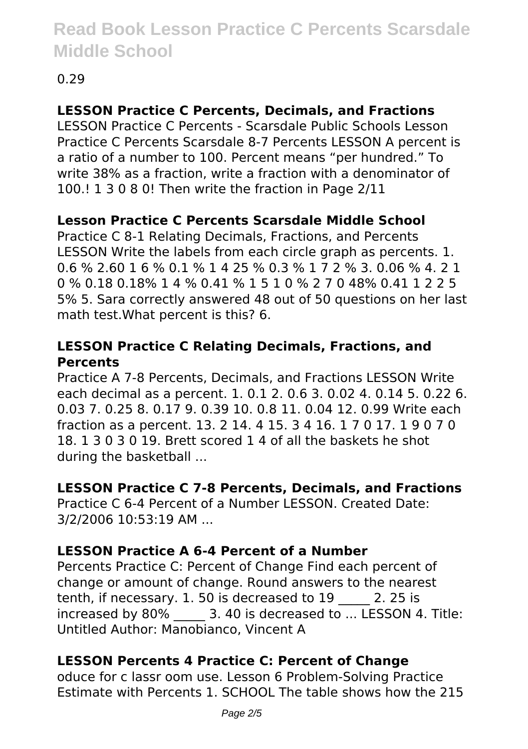## 0.29

## **LESSON Practice C Percents, Decimals, and Fractions**

LESSON Practice C Percents - Scarsdale Public Schools Lesson Practice C Percents Scarsdale 8-7 Percents LESSON A percent is a ratio of a number to 100. Percent means "per hundred." To write 38% as a fraction, write a fraction with a denominator of 100.! 1 3 0 8 0! Then write the fraction in Page 2/11

### **Lesson Practice C Percents Scarsdale Middle School**

Practice C 8-1 Relating Decimals, Fractions, and Percents LESSON Write the labels from each circle graph as percents. 1. 0.6 % 2.60 1 6 % 0.1 % 1 4 25 % 0.3 % 1 7 2 % 3. 0.06 % 4. 2 1 0 % 0.18 0.18% 1 4 % 0.41 % 1 5 1 0 % 2 7 0 48% 0.41 1 2 2 5 5% 5. Sara correctly answered 48 out of 50 questions on her last math test.What percent is this? 6.

#### **LESSON Practice C Relating Decimals, Fractions, and Percents**

Practice A 7-8 Percents, Decimals, and Fractions LESSON Write each decimal as a percent. 1. 0.1 2. 0.6 3. 0.02 4. 0.14 5. 0.22 6. 0.03 7. 0.25 8. 0.17 9. 0.39 10. 0.8 11. 0.04 12. 0.99 Write each fraction as a percent. 13. 2 14. 4 15. 3 4 16. 1 7 0 17. 1 9 0 7 0 18. 1 3 0 3 0 19. Brett scored 1 4 of all the baskets he shot during the basketball ...

#### **LESSON Practice C 7-8 Percents, Decimals, and Fractions**

Practice C 6-4 Percent of a Number LESSON. Created Date: 3/2/2006 10:53:19 AM ...

### **LESSON Practice A 6-4 Percent of a Number**

Percents Practice C: Percent of Change Find each percent of change or amount of change. Round answers to the nearest tenth, if necessary. 1. 50 is decreased to 19 \_\_\_\_\_ 2. 25 is increased by 80%  $\qquad$  3. 40 is decreased to  $\ldots$  LESSON 4. Title: Untitled Author: Manobianco, Vincent A

### **LESSON Percents 4 Practice C: Percent of Change**

oduce for c lassr oom use. Lesson 6 Problem-Solving Practice Estimate with Percents 1. SCHOOL The table shows how the 215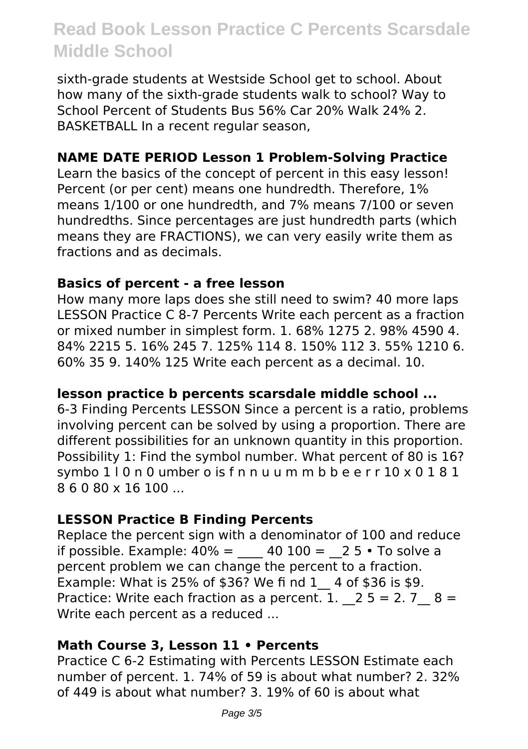sixth-grade students at Westside School get to school. About how many of the sixth-grade students walk to school? Way to School Percent of Students Bus 56% Car 20% Walk 24% 2. BASKETBALL In a recent regular season,

#### **NAME DATE PERIOD Lesson 1 Problem-Solving Practice**

Learn the basics of the concept of percent in this easy lesson! Percent (or per cent) means one hundredth. Therefore, 1% means 1/100 or one hundredth, and 7% means 7/100 or seven hundredths. Since percentages are just hundredth parts (which means they are FRACTIONS), we can very easily write them as fractions and as decimals.

#### **Basics of percent - a free lesson**

How many more laps does she still need to swim? 40 more laps LESSON Practice C 8-7 Percents Write each percent as a fraction or mixed number in simplest form. 1. 68% 1275 2. 98% 4590 4. 84% 2215 5. 16% 245 7. 125% 114 8. 150% 112 3. 55% 1210 6. 60% 35 9. 140% 125 Write each percent as a decimal. 10.

#### **lesson practice b percents scarsdale middle school ...**

6-3 Finding Percents LESSON Since a percent is a ratio, problems involving percent can be solved by using a proportion. There are different possibilities for an unknown quantity in this proportion. Possibility 1: Find the symbol number. What percent of 80 is 16? symbo  $110n0$  umber o is f n n u u m m b b e e r r  $10 \times 0181$ 8 6 0 80 x 16 100 ...

#### **LESSON Practice B Finding Percents**

Replace the percent sign with a denominator of 100 and reduce if possible. Example:  $40\% = 40\,100 = 25 \cdot$  To solve a percent problem we can change the percent to a fraction. Example: What is 25% of \$36? We fi nd 1\_\_ 4 of \$36 is \$9. Practice: Write each fraction as a percent. 1.  $2 5 = 2.7$   $8 =$ Write each percent as a reduced ...

#### **Math Course 3, Lesson 11 • Percents**

Practice C 6-2 Estimating with Percents LESSON Estimate each number of percent. 1. 74% of 59 is about what number? 2. 32% of 449 is about what number? 3. 19% of 60 is about what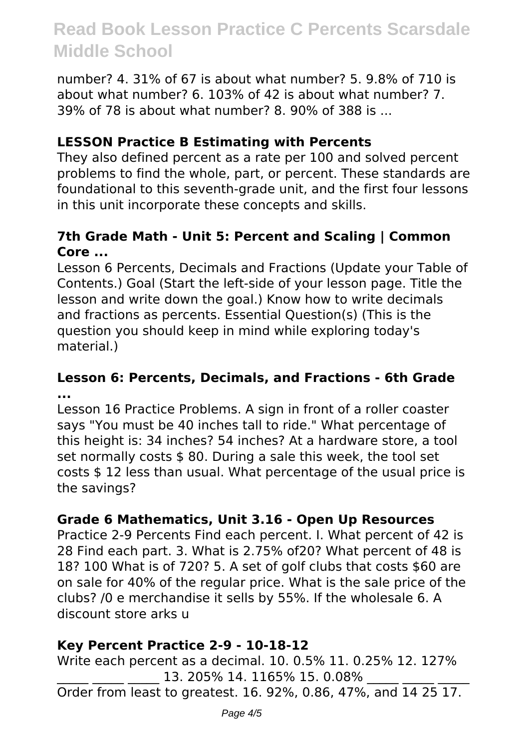number? 4. 31% of 67 is about what number? 5. 9.8% of 710 is about what number? 6. 103% of 42 is about what number? 7. 39% of 78 is about what number? 8. 90% of 388 is ...

#### **LESSON Practice B Estimating with Percents**

They also defined percent as a rate per 100 and solved percent problems to find the whole, part, or percent. These standards are foundational to this seventh-grade unit, and the first four lessons in this unit incorporate these concepts and skills.

#### **7th Grade Math - Unit 5: Percent and Scaling | Common Core ...**

Lesson 6 Percents, Decimals and Fractions (Update your Table of Contents.) Goal (Start the left-side of your lesson page. Title the lesson and write down the goal.) Know how to write decimals and fractions as percents. Essential Question(s) (This is the question you should keep in mind while exploring today's material.)

#### **Lesson 6: Percents, Decimals, and Fractions - 6th Grade ...**

Lesson 16 Practice Problems. A sign in front of a roller coaster says "You must be 40 inches tall to ride." What percentage of this height is: 34 inches? 54 inches? At a hardware store, a tool set normally costs \$80. During a sale this week, the tool set costs \$ 12 less than usual. What percentage of the usual price is the savings?

#### **Grade 6 Mathematics, Unit 3.16 - Open Up Resources**

Practice 2-9 Percents Find each percent. I. What percent of 42 is 28 Find each part. 3. What is 2.75% of20? What percent of 48 is 18? 100 What is of 720? 5. A set of golf clubs that costs \$60 are on sale for 40% of the regular price. What is the sale price of the clubs? /0 e merchandise it sells by 55%. If the wholesale 6. A discount store arks u

#### **Key Percent Practice 2-9 - 10-18-12**

Write each percent as a decimal. 10. 0.5% 11. 0.25% 12. 127% 13. 205% 14. 1165% 15. 0.08% Order from least to greatest. 16. 92%, 0.86, 47%, and 14 25 17.